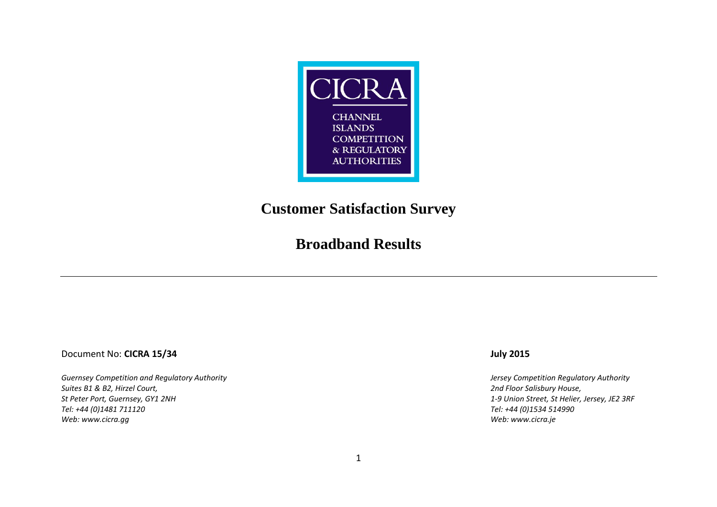

### **Customer Satisfaction Survey**

### **Broadband Results**

### Document No: **CICRA 15/34 July 2015**

*Guernsey Competition and Regulatory Authority Jersey Competition Regulatory Authority Suites B1 & B2, Hirzel Court, 2nd Floor Salisbury House, St Peter Port, Guernsey, GY1 2NH 1-9 Union Street, St Helier, Jersey, JE2 3RF Web: [www.cicra.gg](http://www.cicra.gg/) Web: [www.cicra.je](http://www.cicra.je/)*

*Tel: +44 (0)1481 711120 Tel: +44 (0)1534 514990*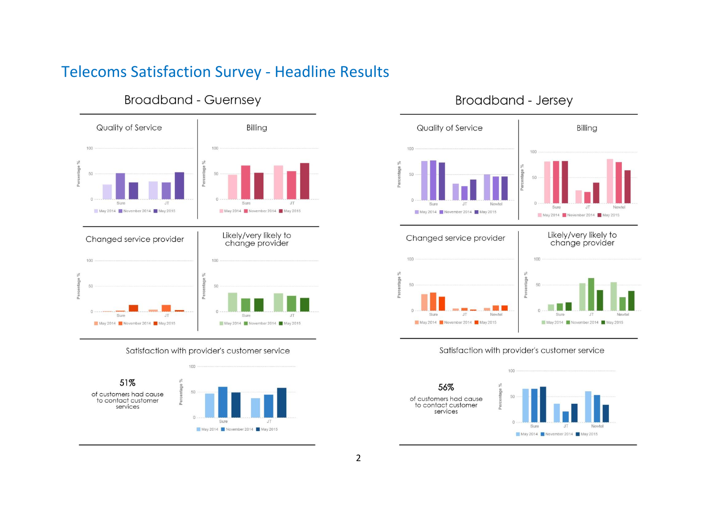## Telecoms Satisfaction Survey - Headline Results



### **Broadband - Guernsey**

Satisfaction with provider's customer service



### Broadband - Jersey



#### Satisfaction with provider's customer service

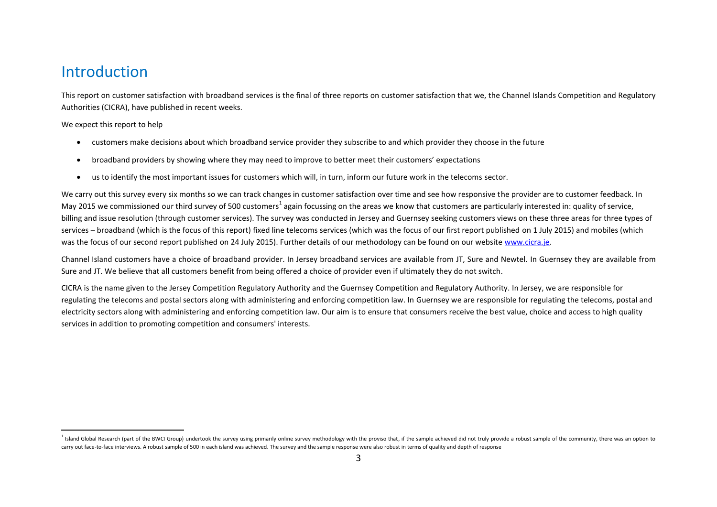### Introduction

This report on customer satisfaction with broadband services is the final of three reports on customer satisfaction that we, the Channel Islands Competition and Regulatory Authorities (CICRA), have published in recent weeks.

We expect this report to help

 $\overline{a}$ 

- customers make decisions about which broadband service provider they subscribe to and which provider they choose in the future
- broadband providers by showing where they may need to improve to better meet their customers' expectations
- us to identify the most important issues for customers which will, in turn, inform our future work in the telecoms sector.

We carry out this survey every six months so we can track changes in customer satisfaction over time and see how responsive the provider are to customer feedback. In May 2015 we commissioned our third survey of 500 customers<sup>1</sup> again focussing on the areas we know that customers are particularly interested in: quality of service, billing and issue resolution (through customer services). The survey was conducted in Jersey and Guernsey seeking customers views on these three areas for three types of services – broadband (which is the focus of this report) fixed line telecoms services (which was the focus of our first report published on 1 July 2015) and mobiles (which was the focus of our second report published on 24 July 2015). Further details of our methodology can be found on our website [www.cicra.je.](http://www.cicra.je/)

Channel Island customers have a choice of broadband provider. In Jersey broadband services are available from JT, Sure and Newtel. In Guernsey they are available from Sure and JT. We believe that all customers benefit from being offered a choice of provider even if ultimately they do not switch.

CICRA is the name given to the Jersey Competition Regulatory Authority and the Guernsey Competition and Regulatory Authority. In Jersey, we are responsible for regulating the telecoms and postal sectors along with administering and enforcing competition law. In Guernsey we are responsible for regulating the telecoms, postal and electricity sectors along with administering and enforcing competition law. Our aim is to ensure that consumers receive the best value, choice and access to high quality services in addition to promoting competition and consumers' interests.

I Island Global Research (part of the BWCI Group) undertook the survey using primarily online survey methodology with the proviso that, if the sample achieved did not truly provide a robust sample of the community, there w carry out face-to-face interviews. A robust sample of 500 in each island was achieved. The survey and the sample response were also robust in terms of quality and depth of response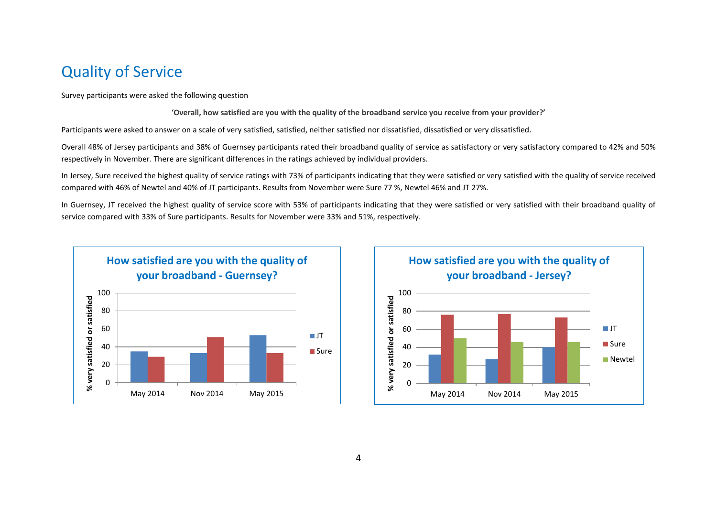### Quality of Service

Survey participants were asked the following question

'**Overall, how satisfied are you with the quality of the broadband service you receive from your provider?'**

Participants were asked to answer on a scale of very satisfied, satisfied, neither satisfied nor dissatisfied, dissatisfied or very dissatisfied.

Overall 48% of Jersey participants and 38% of Guernsey participants rated their broadband quality of service as satisfactory or very satisfactory compared to 42% and 50% respectively in November. There are significant differences in the ratings achieved by individual providers.

In Jersey, Sure received the highest quality of service ratings with 73% of participants indicating that they were satisfied or very satisfied with the quality of service received compared with 46% of Newtel and 40% of JT participants. Results from November were Sure 77 %, Newtel 46% and JT 27%.

In Guernsey, JT received the highest quality of service score with 53% of participants indicating that they were satisfied or very satisfied with their broadband quality of service compared with 33% of Sure participants. Results for November were 33% and 51%, respectively.



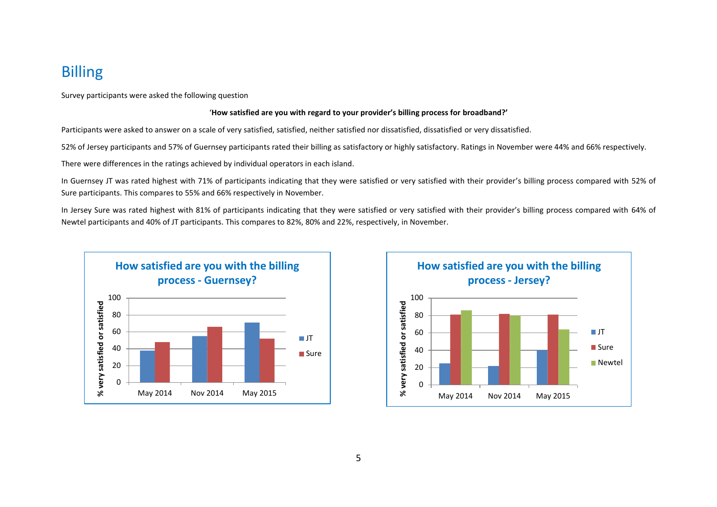# Billing

Survey participants were asked the following question

#### '**How satisfied are you with regard to your provider's billing process for broadband?'**

Participants were asked to answer on a scale of very satisfied, satisfied, neither satisfied nor dissatisfied, dissatisfied or very dissatisfied.

52% of Jersey participants and 57% of Guernsey participants rated their billing as satisfactory or highly satisfactory. Ratings in November were 44% and 66% respectively.

There were differences in the ratings achieved by individual operators in each island.

In Guernsey JT was rated highest with 71% of participants indicating that they were satisfied or very satisfied with their provider's billing process compared with 52% of Sure participants. This compares to 55% and 66% respectively in November.

In Jersey Sure was rated highest with 81% of participants indicating that they were satisfied or very satisfied with their provider's billing process compared with 64% of Newtel participants and 40% of JT participants. This compares to 82%, 80% and 22%, respectively, in November.



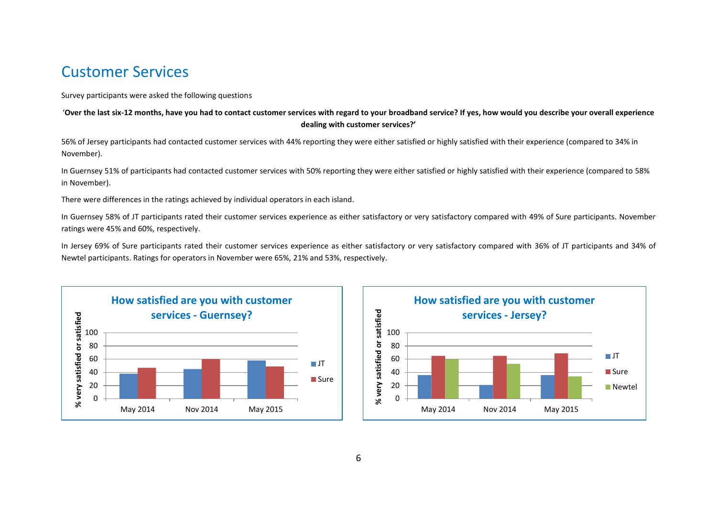### Customer Services

#### Survey participants were asked the following questions

#### '**Over the last six-12 months, have you had to contact customer services with regard to your broadband service? If yes, how would you describe your overall experience dealing with customer services?'**

56% of Jersey participants had contacted customer services with 44% reporting they were either satisfied or highly satisfied with their experience (compared to 34% in November).

In Guernsey 51% of participants had contacted customer services with 50% reporting they were either satisfied or highly satisfied with their experience (compared to 58% in November).

There were differences in the ratings achieved by individual operators in each island.

In Guernsey 58% of JT participants rated their customer services experience as either satisfactory or very satisfactory compared with 49% of Sure participants. November ratings were 45% and 60%, respectively.

In Jersey 69% of Sure participants rated their customer services experience as either satisfactory or very satisfactory compared with 36% of JT participants and 34% of Newtel participants. Ratings for operators in November were 65%, 21% and 53%, respectively.



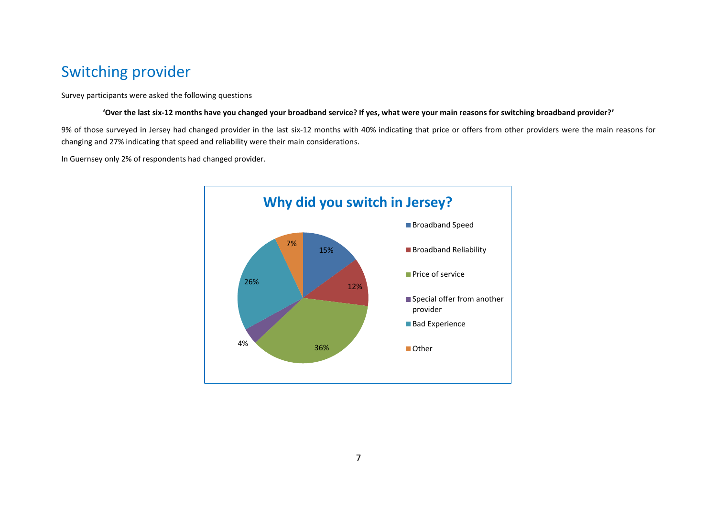# Switching provider

Survey participants were asked the following questions

**'Over the last six-12 months have you changed your broadband service? If yes, what were your main reasons for switching broadband provider?'**

9% of those surveyed in Jersey had changed provider in the last six-12 months with 40% indicating that price or offers from other providers were the main reasons for changing and 27% indicating that speed and reliability were their main considerations.

In Guernsey only 2% of respondents had changed provider.

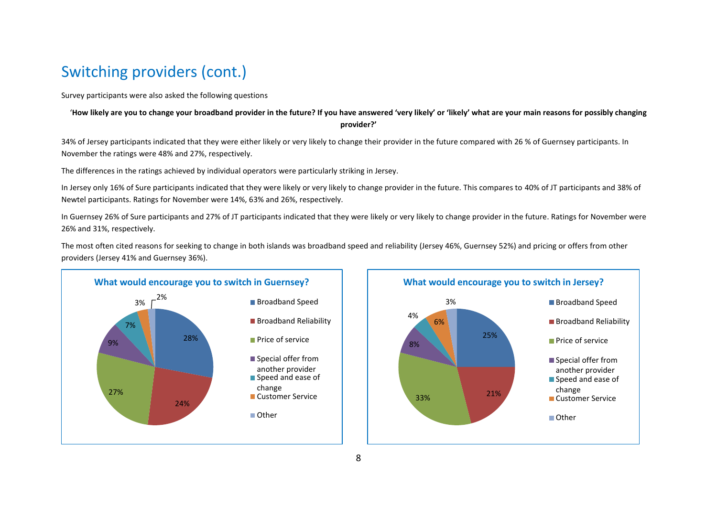# Switching providers (cont.)

Survey participants were also asked the following questions

### '**How likely are you to change your broadband provider in the future? If you have answered 'very likely' or 'likely' what are your main reasons for possibly changing provider?'**

34% of Jersey participants indicated that they were either likely or very likely to change their provider in the future compared with 26 % of Guernsey participants. In November the ratings were 48% and 27%, respectively.

The differences in the ratings achieved by individual operators were particularly striking in Jersey.

In Jersey only 16% of Sure participants indicated that they were likely or very likely to change provider in the future. This compares to 40% of JT participants and 38% of Newtel participants. Ratings for November were 14%, 63% and 26%, respectively.

In Guernsey 26% of Sure participants and 27% of JT participants indicated that they were likely or very likely to change provider in the future. Ratings for November were 26% and 31%, respectively.

The most often cited reasons for seeking to change in both islands was broadband speed and reliability (Jersey 46%, Guernsey 52%) and pricing or offers from other providers (Jersey 41% and Guernsey 36%).



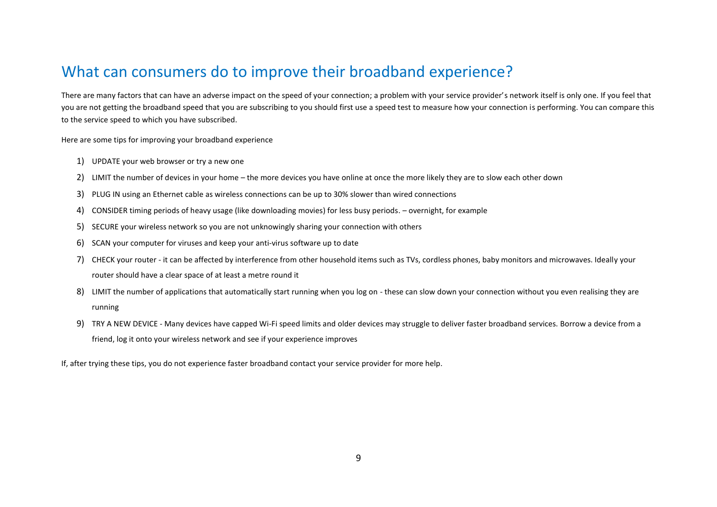## What can consumers do to improve their broadband experience?

There are many factors that can have an adverse impact on the speed of your connection; a problem with your service provider's network itself is only one. If you feel that you are not getting the broadband speed that you are subscribing to you should first use a speed test to measure how your connection is performing. You can compare this to the service speed to which you have subscribed.

Here are some tips for improving your broadband experience

- 1) UPDATE your web browser or try a new one
- 2) LIMIT the number of devices in your home the more devices you have online at once the more likely they are to slow each other down
- 3) PLUG IN using an Ethernet cable as wireless connections can be up to 30% slower than wired connections
- 4) CONSIDER timing periods of heavy usage (like downloading movies) for less busy periods. overnight, for example
- 5) SECURE your wireless network so you are not unknowingly sharing your connection with others
- 6) SCAN your computer for viruses and keep your anti-virus software up to date
- 7) CHECK your router it can be affected by interference from other household items such as TVs, cordless phones, baby monitors and microwaves. Ideally your router should have a clear space of at least a metre round it
- 8) LIMIT the number of applications that automatically start running when you log on these can slow down your connection without you even realising they are running
- 9) TRY A NEW DEVICE Many devices have capped Wi-Fi speed limits and older devices may struggle to deliver faster broadband services. Borrow a device from a friend, log it onto your wireless network and see if your experience improves

If, after trying these tips, you do not experience faster broadband contact your service provider for more help.